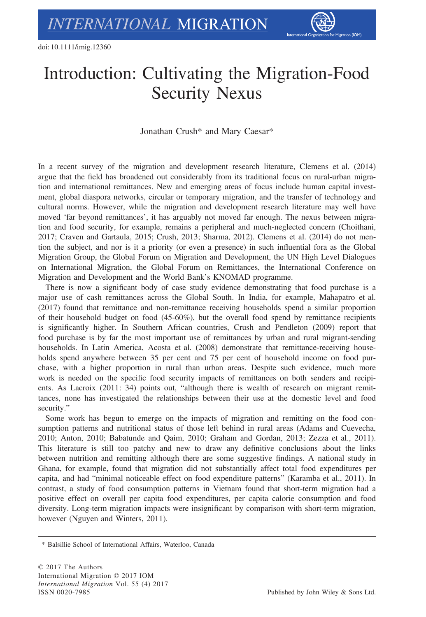

# Introduction: Cultivating the Migration-Food Security Nexus

Jonathan Crush\* and Mary Caesar\*

In a recent survey of the migration and development research literature, Clemens et al. (2014) argue that the field has broadened out considerably from its traditional focus on rural-urban migration and international remittances. New and emerging areas of focus include human capital investment, global diaspora networks, circular or temporary migration, and the transfer of technology and cultural norms. However, while the migration and development research literature may well have moved 'far beyond remittances', it has arguably not moved far enough. The nexus between migration and food security, for example, remains a peripheral and much-neglected concern (Choithani, 2017; Craven and Gartaula, 2015; Crush, 2013; Sharma, 2012). Clemens et al. (2014) do not mention the subject, and nor is it a priority (or even a presence) in such influential fora as the Global Migration Group, the Global Forum on Migration and Development, the UN High Level Dialogues on International Migration, the Global Forum on Remittances, the International Conference on Migration and Development and the World Bank's KNOMAD programme.

There is now a significant body of case study evidence demonstrating that food purchase is a major use of cash remittances across the Global South. In India, for example, Mahapatro et al. (2017) found that remittance and non-remittance receiving households spend a similar proportion of their household budget on food (45-60%), but the overall food spend by remittance recipients is significantly higher. In Southern African countries, Crush and Pendleton (2009) report that food purchase is by far the most important use of remittances by urban and rural migrant-sending households. In Latin America, Acosta et al. (2008) demonstrate that remittance-receiving households spend anywhere between 35 per cent and 75 per cent of household income on food purchase, with a higher proportion in rural than urban areas. Despite such evidence, much more work is needed on the specific food security impacts of remittances on both senders and recipients. As Lacroix (2011: 34) points out, "although there is wealth of research on migrant remittances, none has investigated the relationships between their use at the domestic level and food security."

Some work has begun to emerge on the impacts of migration and remitting on the food consumption patterns and nutritional status of those left behind in rural areas (Adams and Cuevecha, 2010; Anton, 2010; Babatunde and Qaim, 2010; Graham and Gordan, 2013; Zezza et al., 2011). This literature is still too patchy and new to draw any definitive conclusions about the links between nutrition and remitting although there are some suggestive findings. A national study in Ghana, for example, found that migration did not substantially affect total food expenditures per capita, and had "minimal noticeable effect on food expenditure patterns" (Karamba et al., 2011). In contrast, a study of food consumption patterns in Vietnam found that short-term migration had a positive effect on overall per capita food expenditures, per capita calorie consumption and food diversity. Long-term migration impacts were insignificant by comparison with short-term migration, however (Nguyen and Winters, 2011).

<sup>\*</sup> Balsillie School of International Affairs, Waterloo, Canada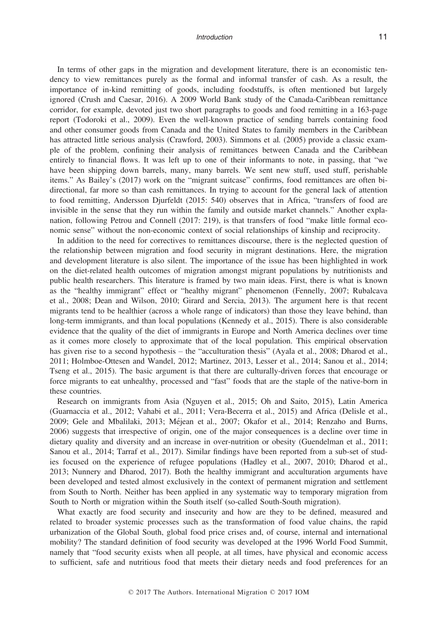## Introduction 11

In terms of other gaps in the migration and development literature, there is an economistic tendency to view remittances purely as the formal and informal transfer of cash. As a result, the importance of in-kind remitting of goods, including foodstuffs, is often mentioned but largely ignored (Crush and Caesar, 2016). A 2009 World Bank study of the Canada-Caribbean remittance corridor, for example, devoted just two short paragraphs to goods and food remitting in a 163-page report (Todoroki et al., 2009). Even the well-known practice of sending barrels containing food and other consumer goods from Canada and the United States to family members in the Caribbean has attracted little serious analysis (Crawford, 2003). Simmons et al. (2005) provide a classic example of the problem, confining their analysis of remittances between Canada and the Caribbean entirely to financial flows. It was left up to one of their informants to note, in passing, that "we have been shipping down barrels, many, many barrels. We sent new stuff, used stuff, perishable items." As Bailey's (2017) work on the "migrant suitcase" confirms, food remittances are often bidirectional, far more so than cash remittances. In trying to account for the general lack of attention to food remitting, Andersson Djurfeldt (2015: 540) observes that in Africa, "transfers of food are invisible in the sense that they run within the family and outside market channels." Another explanation, following Petrou and Connell (2017: 219), is that transfers of food "make little formal economic sense" without the non-economic context of social relationships of kinship and reciprocity.

In addition to the need for correctives to remittances discourse, there is the neglected question of the relationship between migration and food security in migrant destinations. Here, the migration and development literature is also silent. The importance of the issue has been highlighted in work on the diet-related health outcomes of migration amongst migrant populations by nutritionists and public health researchers. This literature is framed by two main ideas. First, there is what is known as the "healthy immigrant" effect or "healthy migrant" phenomenon (Fennelly, 2007; Rubalcava et al., 2008; Dean and Wilson, 2010; Girard and Sercia, 2013). The argument here is that recent migrants tend to be healthier (across a whole range of indicators) than those they leave behind, than long-term immigrants, and than local populations (Kennedy et al., 2015). There is also considerable evidence that the quality of the diet of immigrants in Europe and North America declines over time as it comes more closely to approximate that of the local population. This empirical observation has given rise to a second hypothesis – the "acculturation thesis" (Ayala et al., 2008; Dharod et al., 2011; Holmboe-Ottesen and Wandel, 2012; Martinez, 2013, Lesser et al., 2014; Sanou et al., 2014; Tseng et al., 2015). The basic argument is that there are culturally-driven forces that encourage or force migrants to eat unhealthy, processed and "fast" foods that are the staple of the native-born in these countries.

Research on immigrants from Asia (Nguyen et al., 2015; Oh and Saito, 2015), Latin America (Guarnaccia et al., 2012; Vahabi et al., 2011; Vera-Becerra et al., 2015) and Africa (Delisle et al., 2009; Gele and Mbalilaki, 2013; Mejean et al., 2007; Okafor et al., 2014; Renzaho and Burns, 2006) suggests that irrespective of origin, one of the major consequences is a decline over time in dietary quality and diversity and an increase in over-nutrition or obesity (Guendelman et al., 2011; Sanou et al., 2014; Tarraf et al., 2017). Similar findings have been reported from a sub-set of studies focused on the experience of refugee populations (Hadley et al., 2007, 2010; Dharod et al., 2013; Nunnery and Dharod, 2017). Both the healthy immigrant and acculturation arguments have been developed and tested almost exclusively in the context of permanent migration and settlement from South to North. Neither has been applied in any systematic way to temporary migration from South to North or migration within the South itself (so-called South-South migration).

What exactly are food security and insecurity and how are they to be defined, measured and related to broader systemic processes such as the transformation of food value chains, the rapid urbanization of the Global South, global food price crises and, of course, internal and international mobility? The standard definition of food security was developed at the 1996 World Food Summit, namely that "food security exists when all people, at all times, have physical and economic access to sufficient, safe and nutritious food that meets their dietary needs and food preferences for an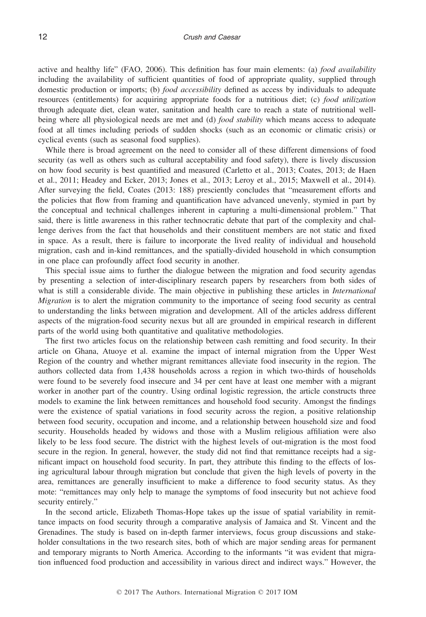active and healthy life" (FAO, 2006). This definition has four main elements: (a) food availability including the availability of sufficient quantities of food of appropriate quality, supplied through domestic production or imports; (b) *food accessibility* defined as access by individuals to adequate resources (entitlements) for acquiring appropriate foods for a nutritious diet; (c) food utilization through adequate diet, clean water, sanitation and health care to reach a state of nutritional wellbeing where all physiological needs are met and (d) *food stability* which means access to adequate food at all times including periods of sudden shocks (such as an economic or climatic crisis) or cyclical events (such as seasonal food supplies).

While there is broad agreement on the need to consider all of these different dimensions of food security (as well as others such as cultural acceptability and food safety), there is lively discussion on how food security is best quantified and measured (Carletto et al., 2013; Coates, 2013; de Haen et al., 2011; Headey and Ecker, 2013; Jones et al., 2013; Leroy et al., 2015; Maxwell et al., 2014). After surveying the field, Coates (2013: 188) presciently concludes that "measurement efforts and the policies that flow from framing and quantification have advanced unevenly, stymied in part by the conceptual and technical challenges inherent in capturing a multi-dimensional problem." That said, there is little awareness in this rather technocratic debate that part of the complexity and challenge derives from the fact that households and their constituent members are not static and fixed in space. As a result, there is failure to incorporate the lived reality of individual and household migration, cash and in-kind remittances, and the spatially-divided household in which consumption in one place can profoundly affect food security in another.

This special issue aims to further the dialogue between the migration and food security agendas by presenting a selection of inter-disciplinary research papers by researchers from both sides of what is still a considerable divide. The main objective in publishing these articles in *International* Migration is to alert the migration community to the importance of seeing food security as central to understanding the links between migration and development. All of the articles address different aspects of the migration-food security nexus but all are grounded in empirical research in different parts of the world using both quantitative and qualitative methodologies.

The first two articles focus on the relationship between cash remitting and food security. In their article on Ghana, Atuoye et al. examine the impact of internal migration from the Upper West Region of the country and whether migrant remittances alleviate food insecurity in the region. The authors collected data from 1,438 households across a region in which two-thirds of households were found to be severely food insecure and 34 per cent have at least one member with a migrant worker in another part of the country. Using ordinal logistic regression, the article constructs three models to examine the link between remittances and household food security. Amongst the findings were the existence of spatial variations in food security across the region, a positive relationship between food security, occupation and income, and a relationship between household size and food security. Households headed by widows and those with a Muslim religious affiliation were also likely to be less food secure. The district with the highest levels of out-migration is the most food secure in the region. In general, however, the study did not find that remittance receipts had a significant impact on household food security. In part, they attribute this finding to the effects of losing agricultural labour through migration but conclude that given the high levels of poverty in the area, remittances are generally insufficient to make a difference to food security status. As they mote: "remittances may only help to manage the symptoms of food insecurity but not achieve food security entirely."

In the second article, Elizabeth Thomas-Hope takes up the issue of spatial variability in remittance impacts on food security through a comparative analysis of Jamaica and St. Vincent and the Grenadines. The study is based on in-depth farmer interviews, focus group discussions and stakeholder consultations in the two research sites, both of which are major sending areas for permanent and temporary migrants to North America. According to the informants "it was evident that migration influenced food production and accessibility in various direct and indirect ways." However, the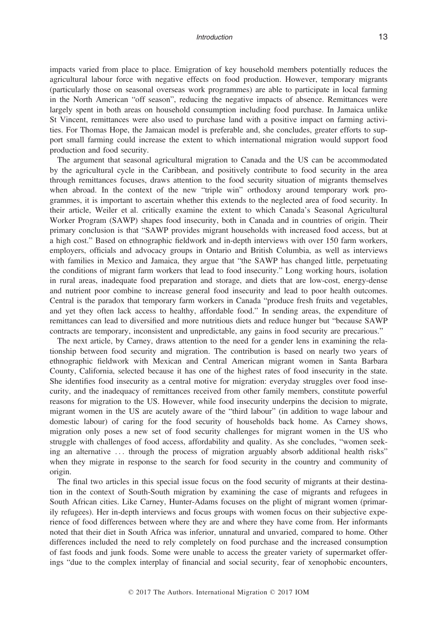### Introduction 13

impacts varied from place to place. Emigration of key household members potentially reduces the agricultural labour force with negative effects on food production. However, temporary migrants (particularly those on seasonal overseas work programmes) are able to participate in local farming in the North American "off season", reducing the negative impacts of absence. Remittances were largely spent in both areas on household consumption including food purchase. In Jamaica unlike St Vincent, remittances were also used to purchase land with a positive impact on farming activities. For Thomas Hope, the Jamaican model is preferable and, she concludes, greater efforts to support small farming could increase the extent to which international migration would support food production and food security.

The argument that seasonal agricultural migration to Canada and the US can be accommodated by the agricultural cycle in the Caribbean, and positively contribute to food security in the area through remittances focuses, draws attention to the food security situation of migrants themselves when abroad. In the context of the new "triple win" orthodoxy around temporary work programmes, it is important to ascertain whether this extends to the neglected area of food security. In their article, Weiler et al. critically examine the extent to which Canada's Seasonal Agricultural Worker Program (SAWP) shapes food insecurity, both in Canada and in countries of origin. Their primary conclusion is that "SAWP provides migrant households with increased food access, but at a high cost." Based on ethnographic fieldwork and in-depth interviews with over 150 farm workers, employers, officials and advocacy groups in Ontario and British Columbia, as well as interviews with families in Mexico and Jamaica, they argue that "the SAWP has changed little, perpetuating the conditions of migrant farm workers that lead to food insecurity." Long working hours, isolation in rural areas, inadequate food preparation and storage, and diets that are low-cost, energy-dense and nutrient poor combine to increase general food insecurity and lead to poor health outcomes. Central is the paradox that temporary farm workers in Canada "produce fresh fruits and vegetables, and yet they often lack access to healthy, affordable food." In sending areas, the expenditure of remittances can lead to diversified and more nutritious diets and reduce hunger but "because SAWP contracts are temporary, inconsistent and unpredictable, any gains in food security are precarious."

The next article, by Carney, draws attention to the need for a gender lens in examining the relationship between food security and migration. The contribution is based on nearly two years of ethnographic fieldwork with Mexican and Central American migrant women in Santa Barbara County, California, selected because it has one of the highest rates of food insecurity in the state. She identifies food insecurity as a central motive for migration: everyday struggles over food insecurity, and the inadequacy of remittances received from other family members, constitute powerful reasons for migration to the US. However, while food insecurity underpins the decision to migrate, migrant women in the US are acutely aware of the "third labour" (in addition to wage labour and domestic labour) of caring for the food security of households back home. As Carney shows, migration only poses a new set of food security challenges for migrant women in the US who struggle with challenges of food access, affordability and quality. As she concludes, "women seeking an alternative ... through the process of migration arguably absorb additional health risks" when they migrate in response to the search for food security in the country and community of origin.

The final two articles in this special issue focus on the food security of migrants at their destination in the context of South-South migration by examining the case of migrants and refugees in South African cities. Like Carney, Hunter-Adams focuses on the plight of migrant women (primarily refugees). Her in-depth interviews and focus groups with women focus on their subjective experience of food differences between where they are and where they have come from. Her informants noted that their diet in South Africa was inferior, unnatural and unvaried, compared to home. Other differences included the need to rely completely on food purchase and the increased consumption of fast foods and junk foods. Some were unable to access the greater variety of supermarket offerings "due to the complex interplay of financial and social security, fear of xenophobic encounters,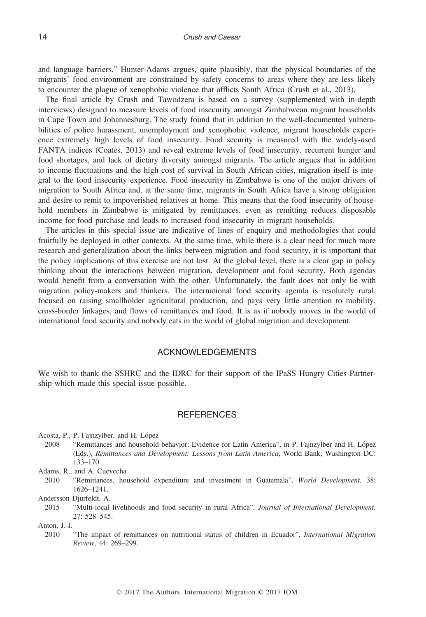and language barriers." Hunter-Adams argues, quite plausibly, that the physical boundaries of the migrants' food environment are constrained by safety concerns to areas where they are less likely to encounter the plague of xenophobic violence that afflicts South Africa (Crush et al., 2013).

The final article by Crush and Tawodzera is based on a survey (supplemented with in-depth interviews) designed to measure levels of food insecurity amongst Zimbabwean migrant households in Cape Town and Johannesburg. The study found that in addition to the well-documented vulnerabilities of police harassment, unemployment and xenophobic violence, migrant households experience extremely high levels of food insecurity. Food security is measured with the widely-used FANTA indices (Coates, 2013) and reveal extreme levels of food insecurity, recurrent hunger and food shortages, and lack of dietary diversity amongst migrants. The article argues that in addition to income fluctuations and the high cost of survival in South African cities, migration itself is integral to the food insecurity experience. Food insecurity in Zimbabwe is one of the major drivers of migration to South Africa and, at the same time, migrants in South Africa have a strong obligation and desire to remit to impoverished relatives at home. This means that the food insecurity of household members in Zimbabwe is mitigated by remittances, even as remitting reduces disposable income for food purchase and leads to increased food insecurity in migrant households.

The articles in this special issue are indicative of lines of enquiry and methodologies that could fruitfully be deployed in other contexts. At the same time, while there is a clear need for much more research and generalization about the links between migration and food security, it is important that the policy implications of this exercise are not lost. At the global level, there is a clear gap in policy thinking about the interactions between migration, development and food security. Both agendas would benefit from a conversation with the other. Unfortunately, the fault does not only lie with migration policy-makers and thinkers. The international food security agenda is resolutely rural, focused on raising smallholder agricultural production, and pays very little attention to mobility, cross-border linkages, and flows of remittances and food. It is as if nobody moves in the world of international food security and nobody eats in the world of global migration and development.

## ACKNOWLEDGEMENTS

We wish to thank the SSHRC and the IDRC for their support of the IPaSS Hungry Cities Partnership which made this special issue possible.

## **REFERENCES**

Acosta, P., P. Fajnzylber, and H. López

2008 "Remittances and household behavior: Evidence for Latin America", in P. Fajnzylber and H. Lopez (Eds.), Remittances and Development: Lessons from Latin America, World Bank, Washington DC: 133–170.

Adams, R., and A. Cuevecha

2010 "Remittances, household expenditure and investment in Guatemala", World Development, 38: 1626–1241.

Andersson Djurfeldt, A.

2015 "Multi-local livelihoods and food security in rural Africa", Journal of International Development, 27: 528–545.

Anton, J.-I.

2010 "The impact of remittances on nutritional status of children in Ecuador", International Migration Review, 44: 269–299.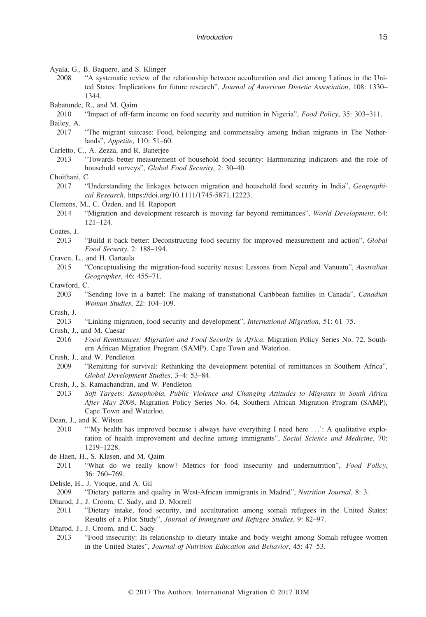2008 "A systematic review of the relationship between acculturation and diet among Latinos in the United States: Implications for future research", Journal of American Dietetic Association, 108: 1330-1344.

Babatunde, R., and M. Qaim

- 2010 "Impact of off-farm income on food security and nutrition in Nigeria", Food Policy, 35: 303–311. Bailey, A.
	- 2017 "The migrant suitcase: Food, belonging and commensality among Indian migrants in The Netherlands", Appetite, 110: 51–60.
- Carletto, C., A. Zezza, and R. Banerjee
	- 2013 "Towards better measurement of household food security: Harmonizing indicators and the role of household surveys", Global Food Security, 2: 30-40.

#### Choithani, C.

2017 "Understanding the linkages between migration and household food security in India", Geographical Research,<https://doi.org/10.1111/1745-5871.12223>.

#### Clemens, M., C. Özden, and H. Rapoport

2014 "Migration and development research is moving far beyond remittances", World Development, 64: 121–124.

#### Coates, J.

- 2013 "Build it back better: Deconstructing food security for improved measurement and action", Global Food Security, 2: 188–194.
- Craven, L., and H. Gartaula
- 2015 "Conceptualising the migration-food security nexus: Lessons from Nepal and Vanuatu", Australian Geographer, 46: 455–71.

#### Crawford, C.

2003 "Sending love in a barrel: The making of transnational Caribbean families in Canada", Canadian Woman Studies, 22: 104–109.

#### Crush, J.

2013 "Linking migration, food security and development", International Migration, 51: 61–75.

Crush, J., and M. Caesar

2016 Food Remittances: Migration and Food Security in Africa. Migration Policy Series No. 72, Southern African Migration Program (SAMP), Cape Town and Waterloo.

#### Crush, J., and W. Pendleton

- 2009 "Remitting for survival: Rethinking the development potential of remittances in Southern Africa", Global Development Studies, 3–4: 53–84.
- Crush, J., S. Ramachandran, and W. Pendleton
- 2013 Soft Targets: Xenophobia, Public Violence and Changing Attitudes to Migrants in South Africa After May 2008, Migration Policy Series No. 64, Southern African Migration Program (SAMP), Cape Town and Waterloo.
- Dean, J., and K. Wilson
	- 2010 "'My health has improved because i always have everything I need here ...': A qualitative exploration of health improvement and decline among immigrants", Social Science and Medicine, 70: 1219–1228.
- de Haen, H., S. Klasen, and M. Qaim
- 2011 "What do we really know? Metrics for food insecurity and undernutrition", Food Policy, 36: 760–769.

Delisle, H., J. Vioque, and A. Gil

2009 "Dietary patterns and quality in West-African immigrants in Madrid", Nutrition Journal, 8: 3.

Dharod, J., J. Croom, C. Sady, and D. Morrell

- 2011 "Dietary intake, food security, and acculturation among somali refugees in the United States: Results of a Pilot Study", Journal of Immigrant and Refugee Studies, 9: 82–97.
- Dharod, J., J. Croom, and C. Sady
- 2013 "Food insecurity: Its relationship to dietary intake and body weight among Somali refugee women in the United States", Journal of Nutrition Education and Behavior, 45: 47–53.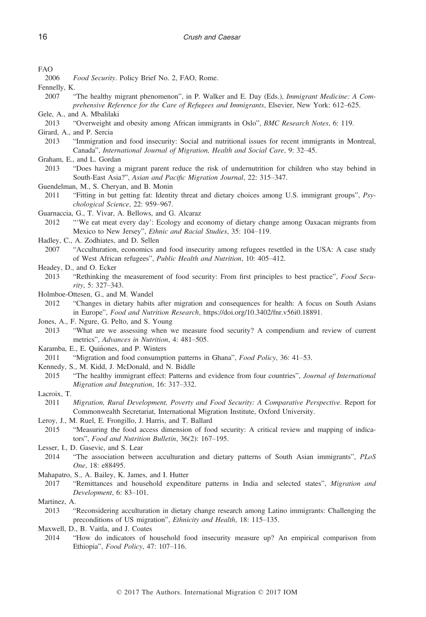| <b>FAO</b><br>2006<br>Food Security. Policy Brief No. 2, FAO, Rome.<br>Fennelly, K.<br>2007<br>"The healthy migrant phenomenon", in P. Walker and E. Day (Eds.), Immigrant Medicine: A Com-<br>prehensive Reference for the Care of Refugees and Immigrants, Elsevier, New York: 612-625.<br>Gele, A., and A. Mbalilaki<br>2013<br>"Overweight and obesity among African immigrants in Oslo", BMC Research Notes, 6: 119.<br>Girard, A., and P. Sercia<br>2013<br>"Immigration and food insecurity: Social and nutritional issues for recent immigrants in Montreal,<br>Canada", International Journal of Migration, Health and Social Care, 9: 32-45.<br>Graham, E., and L. Gordan<br>"Does having a migrant parent reduce the risk of undernutrition for children who stay behind in<br>2013<br>South-East Asia?", Asian and Pacific Migration Journal, 22: 315-347.<br>Guendelman, M., S. Cheryan, and B. Monin<br>2011<br>"Fitting in but getting fat: Identity threat and dietary choices among U.S. immigrant groups", Psy-<br>chological Science, 22: 959-967.<br>Guarnaccia, G., T. Vivar, A. Bellows, and G. Alcaraz<br>"'We eat meat every day': Ecology and economy of dietary change among Oaxacan migrants from<br>2012<br>Mexico to New Jersey", Ethnic and Racial Studies, 35: 104-119.<br>Hadley, C., A. Zodhiates, and D. Sellen<br>"Acculturation, economics and food insecurity among refugees resettled in the USA: A case study<br>2007<br>of West African refugees", Public Health and Nutrition, 10: 405-412.<br>Headey, D., and O. Ecker<br>2013<br>"Rethinking the measurement of food security: From first principles to best practice", Food Secu-<br>rity, 5: 327-343.<br>Holmboe-Ottesen, G., and M. Wandel<br>2012<br>"Changes in dietary habits after migration and consequences for health: A focus on South Asians<br>in Europe", Food and Nutrition Research, https://doi.org/10.3402/fnr.v56i0.18891. |
|------------------------------------------------------------------------------------------------------------------------------------------------------------------------------------------------------------------------------------------------------------------------------------------------------------------------------------------------------------------------------------------------------------------------------------------------------------------------------------------------------------------------------------------------------------------------------------------------------------------------------------------------------------------------------------------------------------------------------------------------------------------------------------------------------------------------------------------------------------------------------------------------------------------------------------------------------------------------------------------------------------------------------------------------------------------------------------------------------------------------------------------------------------------------------------------------------------------------------------------------------------------------------------------------------------------------------------------------------------------------------------------------------------------------------------------------------------------------------------------------------------------------------------------------------------------------------------------------------------------------------------------------------------------------------------------------------------------------------------------------------------------------------------------------------------------------------------------------------------------------------------------------------------------------------------------|
|                                                                                                                                                                                                                                                                                                                                                                                                                                                                                                                                                                                                                                                                                                                                                                                                                                                                                                                                                                                                                                                                                                                                                                                                                                                                                                                                                                                                                                                                                                                                                                                                                                                                                                                                                                                                                                                                                                                                          |
|                                                                                                                                                                                                                                                                                                                                                                                                                                                                                                                                                                                                                                                                                                                                                                                                                                                                                                                                                                                                                                                                                                                                                                                                                                                                                                                                                                                                                                                                                                                                                                                                                                                                                                                                                                                                                                                                                                                                          |
|                                                                                                                                                                                                                                                                                                                                                                                                                                                                                                                                                                                                                                                                                                                                                                                                                                                                                                                                                                                                                                                                                                                                                                                                                                                                                                                                                                                                                                                                                                                                                                                                                                                                                                                                                                                                                                                                                                                                          |
|                                                                                                                                                                                                                                                                                                                                                                                                                                                                                                                                                                                                                                                                                                                                                                                                                                                                                                                                                                                                                                                                                                                                                                                                                                                                                                                                                                                                                                                                                                                                                                                                                                                                                                                                                                                                                                                                                                                                          |
|                                                                                                                                                                                                                                                                                                                                                                                                                                                                                                                                                                                                                                                                                                                                                                                                                                                                                                                                                                                                                                                                                                                                                                                                                                                                                                                                                                                                                                                                                                                                                                                                                                                                                                                                                                                                                                                                                                                                          |
|                                                                                                                                                                                                                                                                                                                                                                                                                                                                                                                                                                                                                                                                                                                                                                                                                                                                                                                                                                                                                                                                                                                                                                                                                                                                                                                                                                                                                                                                                                                                                                                                                                                                                                                                                                                                                                                                                                                                          |
|                                                                                                                                                                                                                                                                                                                                                                                                                                                                                                                                                                                                                                                                                                                                                                                                                                                                                                                                                                                                                                                                                                                                                                                                                                                                                                                                                                                                                                                                                                                                                                                                                                                                                                                                                                                                                                                                                                                                          |
|                                                                                                                                                                                                                                                                                                                                                                                                                                                                                                                                                                                                                                                                                                                                                                                                                                                                                                                                                                                                                                                                                                                                                                                                                                                                                                                                                                                                                                                                                                                                                                                                                                                                                                                                                                                                                                                                                                                                          |
|                                                                                                                                                                                                                                                                                                                                                                                                                                                                                                                                                                                                                                                                                                                                                                                                                                                                                                                                                                                                                                                                                                                                                                                                                                                                                                                                                                                                                                                                                                                                                                                                                                                                                                                                                                                                                                                                                                                                          |
|                                                                                                                                                                                                                                                                                                                                                                                                                                                                                                                                                                                                                                                                                                                                                                                                                                                                                                                                                                                                                                                                                                                                                                                                                                                                                                                                                                                                                                                                                                                                                                                                                                                                                                                                                                                                                                                                                                                                          |
|                                                                                                                                                                                                                                                                                                                                                                                                                                                                                                                                                                                                                                                                                                                                                                                                                                                                                                                                                                                                                                                                                                                                                                                                                                                                                                                                                                                                                                                                                                                                                                                                                                                                                                                                                                                                                                                                                                                                          |
|                                                                                                                                                                                                                                                                                                                                                                                                                                                                                                                                                                                                                                                                                                                                                                                                                                                                                                                                                                                                                                                                                                                                                                                                                                                                                                                                                                                                                                                                                                                                                                                                                                                                                                                                                                                                                                                                                                                                          |
|                                                                                                                                                                                                                                                                                                                                                                                                                                                                                                                                                                                                                                                                                                                                                                                                                                                                                                                                                                                                                                                                                                                                                                                                                                                                                                                                                                                                                                                                                                                                                                                                                                                                                                                                                                                                                                                                                                                                          |
|                                                                                                                                                                                                                                                                                                                                                                                                                                                                                                                                                                                                                                                                                                                                                                                                                                                                                                                                                                                                                                                                                                                                                                                                                                                                                                                                                                                                                                                                                                                                                                                                                                                                                                                                                                                                                                                                                                                                          |
|                                                                                                                                                                                                                                                                                                                                                                                                                                                                                                                                                                                                                                                                                                                                                                                                                                                                                                                                                                                                                                                                                                                                                                                                                                                                                                                                                                                                                                                                                                                                                                                                                                                                                                                                                                                                                                                                                                                                          |
|                                                                                                                                                                                                                                                                                                                                                                                                                                                                                                                                                                                                                                                                                                                                                                                                                                                                                                                                                                                                                                                                                                                                                                                                                                                                                                                                                                                                                                                                                                                                                                                                                                                                                                                                                                                                                                                                                                                                          |
|                                                                                                                                                                                                                                                                                                                                                                                                                                                                                                                                                                                                                                                                                                                                                                                                                                                                                                                                                                                                                                                                                                                                                                                                                                                                                                                                                                                                                                                                                                                                                                                                                                                                                                                                                                                                                                                                                                                                          |
|                                                                                                                                                                                                                                                                                                                                                                                                                                                                                                                                                                                                                                                                                                                                                                                                                                                                                                                                                                                                                                                                                                                                                                                                                                                                                                                                                                                                                                                                                                                                                                                                                                                                                                                                                                                                                                                                                                                                          |
|                                                                                                                                                                                                                                                                                                                                                                                                                                                                                                                                                                                                                                                                                                                                                                                                                                                                                                                                                                                                                                                                                                                                                                                                                                                                                                                                                                                                                                                                                                                                                                                                                                                                                                                                                                                                                                                                                                                                          |
|                                                                                                                                                                                                                                                                                                                                                                                                                                                                                                                                                                                                                                                                                                                                                                                                                                                                                                                                                                                                                                                                                                                                                                                                                                                                                                                                                                                                                                                                                                                                                                                                                                                                                                                                                                                                                                                                                                                                          |
|                                                                                                                                                                                                                                                                                                                                                                                                                                                                                                                                                                                                                                                                                                                                                                                                                                                                                                                                                                                                                                                                                                                                                                                                                                                                                                                                                                                                                                                                                                                                                                                                                                                                                                                                                                                                                                                                                                                                          |
|                                                                                                                                                                                                                                                                                                                                                                                                                                                                                                                                                                                                                                                                                                                                                                                                                                                                                                                                                                                                                                                                                                                                                                                                                                                                                                                                                                                                                                                                                                                                                                                                                                                                                                                                                                                                                                                                                                                                          |
|                                                                                                                                                                                                                                                                                                                                                                                                                                                                                                                                                                                                                                                                                                                                                                                                                                                                                                                                                                                                                                                                                                                                                                                                                                                                                                                                                                                                                                                                                                                                                                                                                                                                                                                                                                                                                                                                                                                                          |
|                                                                                                                                                                                                                                                                                                                                                                                                                                                                                                                                                                                                                                                                                                                                                                                                                                                                                                                                                                                                                                                                                                                                                                                                                                                                                                                                                                                                                                                                                                                                                                                                                                                                                                                                                                                                                                                                                                                                          |
|                                                                                                                                                                                                                                                                                                                                                                                                                                                                                                                                                                                                                                                                                                                                                                                                                                                                                                                                                                                                                                                                                                                                                                                                                                                                                                                                                                                                                                                                                                                                                                                                                                                                                                                                                                                                                                                                                                                                          |
|                                                                                                                                                                                                                                                                                                                                                                                                                                                                                                                                                                                                                                                                                                                                                                                                                                                                                                                                                                                                                                                                                                                                                                                                                                                                                                                                                                                                                                                                                                                                                                                                                                                                                                                                                                                                                                                                                                                                          |
|                                                                                                                                                                                                                                                                                                                                                                                                                                                                                                                                                                                                                                                                                                                                                                                                                                                                                                                                                                                                                                                                                                                                                                                                                                                                                                                                                                                                                                                                                                                                                                                                                                                                                                                                                                                                                                                                                                                                          |
| Jones, A., F. Ngure, G. Pelto, and S. Young                                                                                                                                                                                                                                                                                                                                                                                                                                                                                                                                                                                                                                                                                                                                                                                                                                                                                                                                                                                                                                                                                                                                                                                                                                                                                                                                                                                                                                                                                                                                                                                                                                                                                                                                                                                                                                                                                              |
| "What are we assessing when we measure food security? A compendium and review of current<br>2013                                                                                                                                                                                                                                                                                                                                                                                                                                                                                                                                                                                                                                                                                                                                                                                                                                                                                                                                                                                                                                                                                                                                                                                                                                                                                                                                                                                                                                                                                                                                                                                                                                                                                                                                                                                                                                         |
| metrics", Advances in Nutrition, 4: 481-505.                                                                                                                                                                                                                                                                                                                                                                                                                                                                                                                                                                                                                                                                                                                                                                                                                                                                                                                                                                                                                                                                                                                                                                                                                                                                                                                                                                                                                                                                                                                                                                                                                                                                                                                                                                                                                                                                                             |
| Karamba, E., E. Quiñones, and P. Winters                                                                                                                                                                                                                                                                                                                                                                                                                                                                                                                                                                                                                                                                                                                                                                                                                                                                                                                                                                                                                                                                                                                                                                                                                                                                                                                                                                                                                                                                                                                                                                                                                                                                                                                                                                                                                                                                                                 |
| 2011<br>"Migration and food consumption patterns in Ghana", Food Policy, 36: 41-53.                                                                                                                                                                                                                                                                                                                                                                                                                                                                                                                                                                                                                                                                                                                                                                                                                                                                                                                                                                                                                                                                                                                                                                                                                                                                                                                                                                                                                                                                                                                                                                                                                                                                                                                                                                                                                                                      |
| Kennedy, S., M. Kidd, J. McDonald, and N. Biddle                                                                                                                                                                                                                                                                                                                                                                                                                                                                                                                                                                                                                                                                                                                                                                                                                                                                                                                                                                                                                                                                                                                                                                                                                                                                                                                                                                                                                                                                                                                                                                                                                                                                                                                                                                                                                                                                                         |
| "The healthy immigrant effect: Patterns and evidence from four countries", Journal of International<br>2015                                                                                                                                                                                                                                                                                                                                                                                                                                                                                                                                                                                                                                                                                                                                                                                                                                                                                                                                                                                                                                                                                                                                                                                                                                                                                                                                                                                                                                                                                                                                                                                                                                                                                                                                                                                                                              |
| Migration and Integration, 16: 317–332.                                                                                                                                                                                                                                                                                                                                                                                                                                                                                                                                                                                                                                                                                                                                                                                                                                                                                                                                                                                                                                                                                                                                                                                                                                                                                                                                                                                                                                                                                                                                                                                                                                                                                                                                                                                                                                                                                                  |
| Lacroix, T.                                                                                                                                                                                                                                                                                                                                                                                                                                                                                                                                                                                                                                                                                                                                                                                                                                                                                                                                                                                                                                                                                                                                                                                                                                                                                                                                                                                                                                                                                                                                                                                                                                                                                                                                                                                                                                                                                                                              |
| Migration, Rural Development, Poverty and Food Security: A Comparative Perspective. Report for<br>2011                                                                                                                                                                                                                                                                                                                                                                                                                                                                                                                                                                                                                                                                                                                                                                                                                                                                                                                                                                                                                                                                                                                                                                                                                                                                                                                                                                                                                                                                                                                                                                                                                                                                                                                                                                                                                                   |
| Commonwealth Secretariat, International Migration Institute, Oxford University.                                                                                                                                                                                                                                                                                                                                                                                                                                                                                                                                                                                                                                                                                                                                                                                                                                                                                                                                                                                                                                                                                                                                                                                                                                                                                                                                                                                                                                                                                                                                                                                                                                                                                                                                                                                                                                                          |
| Leroy, J., M. Ruel, E. Frongillo, J. Harris, and T. Ballard                                                                                                                                                                                                                                                                                                                                                                                                                                                                                                                                                                                                                                                                                                                                                                                                                                                                                                                                                                                                                                                                                                                                                                                                                                                                                                                                                                                                                                                                                                                                                                                                                                                                                                                                                                                                                                                                              |
| 2015<br>"Measuring the food access dimension of food security: A critical review and mapping of indica-                                                                                                                                                                                                                                                                                                                                                                                                                                                                                                                                                                                                                                                                                                                                                                                                                                                                                                                                                                                                                                                                                                                                                                                                                                                                                                                                                                                                                                                                                                                                                                                                                                                                                                                                                                                                                                  |
| tors", Food and Nutrition Bulletin, 36(2): 167-195.                                                                                                                                                                                                                                                                                                                                                                                                                                                                                                                                                                                                                                                                                                                                                                                                                                                                                                                                                                                                                                                                                                                                                                                                                                                                                                                                                                                                                                                                                                                                                                                                                                                                                                                                                                                                                                                                                      |
| Lesser, I., D. Gasevic, and S. Lear                                                                                                                                                                                                                                                                                                                                                                                                                                                                                                                                                                                                                                                                                                                                                                                                                                                                                                                                                                                                                                                                                                                                                                                                                                                                                                                                                                                                                                                                                                                                                                                                                                                                                                                                                                                                                                                                                                      |
| 2014<br>"The association between acculturation and dietary patterns of South Asian immigrants", PLoS                                                                                                                                                                                                                                                                                                                                                                                                                                                                                                                                                                                                                                                                                                                                                                                                                                                                                                                                                                                                                                                                                                                                                                                                                                                                                                                                                                                                                                                                                                                                                                                                                                                                                                                                                                                                                                     |
| One, 18: e88495.                                                                                                                                                                                                                                                                                                                                                                                                                                                                                                                                                                                                                                                                                                                                                                                                                                                                                                                                                                                                                                                                                                                                                                                                                                                                                                                                                                                                                                                                                                                                                                                                                                                                                                                                                                                                                                                                                                                         |
| Mahapatro, S., A. Bailey, K. James, and I. Hutter                                                                                                                                                                                                                                                                                                                                                                                                                                                                                                                                                                                                                                                                                                                                                                                                                                                                                                                                                                                                                                                                                                                                                                                                                                                                                                                                                                                                                                                                                                                                                                                                                                                                                                                                                                                                                                                                                        |
| 2017<br>"Remittances and household expenditure patterns in India and selected states", Migration and                                                                                                                                                                                                                                                                                                                                                                                                                                                                                                                                                                                                                                                                                                                                                                                                                                                                                                                                                                                                                                                                                                                                                                                                                                                                                                                                                                                                                                                                                                                                                                                                                                                                                                                                                                                                                                     |
| Development, 6: 83-101.                                                                                                                                                                                                                                                                                                                                                                                                                                                                                                                                                                                                                                                                                                                                                                                                                                                                                                                                                                                                                                                                                                                                                                                                                                                                                                                                                                                                                                                                                                                                                                                                                                                                                                                                                                                                                                                                                                                  |
| Martinez, A.                                                                                                                                                                                                                                                                                                                                                                                                                                                                                                                                                                                                                                                                                                                                                                                                                                                                                                                                                                                                                                                                                                                                                                                                                                                                                                                                                                                                                                                                                                                                                                                                                                                                                                                                                                                                                                                                                                                             |
| "Reconsidering acculturation in dietary change research among Latino immigrants: Challenging the<br>2013                                                                                                                                                                                                                                                                                                                                                                                                                                                                                                                                                                                                                                                                                                                                                                                                                                                                                                                                                                                                                                                                                                                                                                                                                                                                                                                                                                                                                                                                                                                                                                                                                                                                                                                                                                                                                                 |
| preconditions of US migration", Ethnicity and Health, 18: 115-135.                                                                                                                                                                                                                                                                                                                                                                                                                                                                                                                                                                                                                                                                                                                                                                                                                                                                                                                                                                                                                                                                                                                                                                                                                                                                                                                                                                                                                                                                                                                                                                                                                                                                                                                                                                                                                                                                       |
| Maxwell, D., B. Vaitla, and J. Coates                                                                                                                                                                                                                                                                                                                                                                                                                                                                                                                                                                                                                                                                                                                                                                                                                                                                                                                                                                                                                                                                                                                                                                                                                                                                                                                                                                                                                                                                                                                                                                                                                                                                                                                                                                                                                                                                                                    |

2014 "How do indicators of household food insecurity measure up? An empirical comparison from Ethiopia", Food Policy, 47: 107–116.